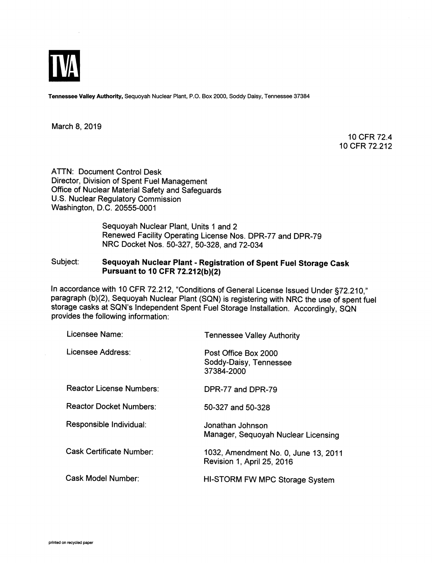

*Tennessee Valley Authority,* Sequoyah Nuclear Plant, P.O. Box 2000, Soddy Daisy, Tennessee 37384

March 8, 2019

10 CFR 72.4 10 CFR 72.212

ATTN: Document Control Desk Director, Division of Spent Fuel Management Office of Nuclear Material Safety and Safeguards U.S. Nuclear Regulatory Commission Washington, D.C. 20555-0001

> Sequoyah Nuclear Plant, Units 1 and 2 Renewed Facility Operating License Nos. DPR-77 and DPR-79 NRC Docket Nos. 50-327, 50-328, and 72-034

## Subject: *Sequoyah Nuclear Plant - Registration of Spent Fuel Storage Cask Pursuant to 10 CFR 72.212(b)(2)*

In accordance with 10 CFR 72.212, "Conditions of General License Issued Under §72.210," paragraph (b)(2), Sequoyah Nuclear Plant (SQN) is registering with NRC the use of spent fuel storage casks at SQN's Independent Spent Fuel Storage Installation. Accordingly, SQN provides the following information:

| Licensee Name:                  | <b>Tennessee Valley Authority</b>                                  |
|---------------------------------|--------------------------------------------------------------------|
| Licensee Address:               | Post Office Box 2000<br>Soddy-Daisy, Tennessee<br>37384-2000       |
| <b>Reactor License Numbers:</b> | DPR-77 and DPR-79                                                  |
| <b>Reactor Docket Numbers:</b>  | 50-327 and 50-328                                                  |
| Responsible Individual:         | Jonathan Johnson<br>Manager, Sequoyah Nuclear Licensing            |
| Cask Certificate Number:        | 1032, Amendment No. 0, June 13, 2011<br>Revision 1, April 25, 2016 |
| Cask Model Number:              | HI-STORM FW MPC Storage System                                     |